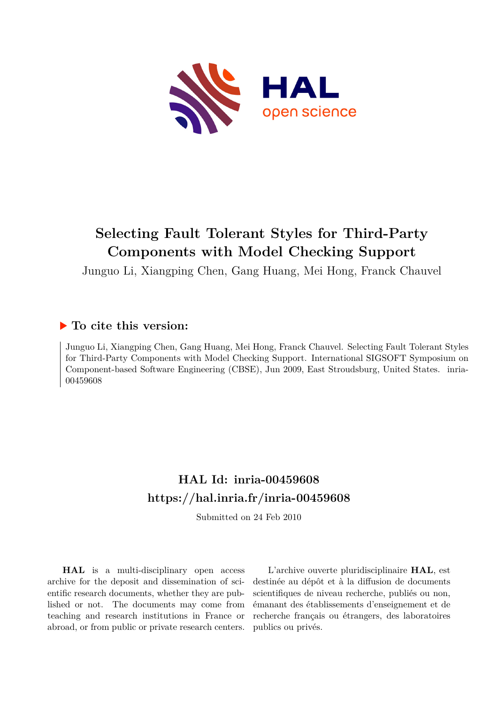

# **Selecting Fault Tolerant Styles for Third-Party Components with Model Checking Support**

Junguo Li, Xiangping Chen, Gang Huang, Mei Hong, Franck Chauvel

## **To cite this version:**

Junguo Li, Xiangping Chen, Gang Huang, Mei Hong, Franck Chauvel. Selecting Fault Tolerant Styles for Third-Party Components with Model Checking Support. International SIGSOFT Symposium on Component-based Software Engineering (CBSE), Jun 2009, East Stroudsburg, United States. inria-00459608

# **HAL Id: inria-00459608 <https://hal.inria.fr/inria-00459608>**

Submitted on 24 Feb 2010

**HAL** is a multi-disciplinary open access archive for the deposit and dissemination of scientific research documents, whether they are published or not. The documents may come from teaching and research institutions in France or abroad, or from public or private research centers.

L'archive ouverte pluridisciplinaire **HAL**, est destinée au dépôt et à la diffusion de documents scientifiques de niveau recherche, publiés ou non, émanant des établissements d'enseignement et de recherche français ou étrangers, des laboratoires publics ou privés.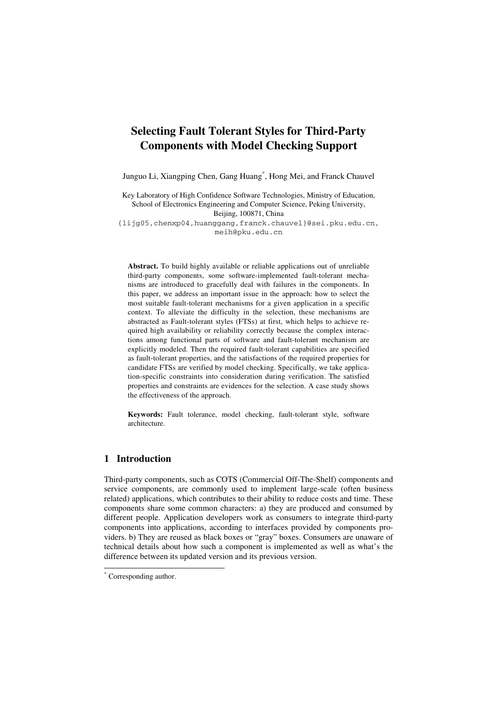## **Selecting Fault Tolerant Styles for Third-Party Components with Model Checking Support**

Junguo Li, Xiangping Chen, Gang Huang\* , Hong Mei, and Franck Chauvel

Key Laboratory of High Confidence Software Technologies, Ministry of Education, School of Electronics Engineering and Computer Science, Peking University, Beijing, 100871, China

{lijg05,chenxp04,huanggang,franck.chauvel}@sei.pku.edu.cn, meih@pku.edu.cn

**Abstract.** To build highly available or reliable applications out of unreliable third-party components, some software-implemented fault-tolerant mechanisms are introduced to gracefully deal with failures in the components. In this paper, we address an important issue in the approach: how to select the most suitable fault-tolerant mechanisms for a given application in a specific context. To alleviate the difficulty in the selection, these mechanisms are abstracted as Fault-tolerant styles (FTSs) at first, which helps to achieve required high availability or reliability correctly because the complex interactions among functional parts of software and fault-tolerant mechanism are explicitly modeled. Then the required fault-tolerant capabilities are specified as fault-tolerant properties, and the satisfactions of the required properties for candidate FTSs are verified by model checking. Specifically, we take application-specific constraints into consideration during verification. The satisfied properties and constraints are evidences for the selection. A case study shows the effectiveness of the approach.

**Keywords:** Fault tolerance, model checking, fault-tolerant style, software architecture.

## **1 Introduction**

Third-party components, such as COTS (Commercial Off-The-Shelf) components and service components, are commonly used to implement large-scale (often business related) applications, which contributes to their ability to reduce costs and time. These components share some common characters: a) they are produced and consumed by different people. Application developers work as consumers to integrate third-party components into applications, according to interfaces provided by components providers. b) They are reused as black boxes or "gray" boxes. Consumers are unaware of technical details about how such a component is implemented as well as what's the difference between its updated version and its previous version.

j

<sup>\*</sup> Corresponding author.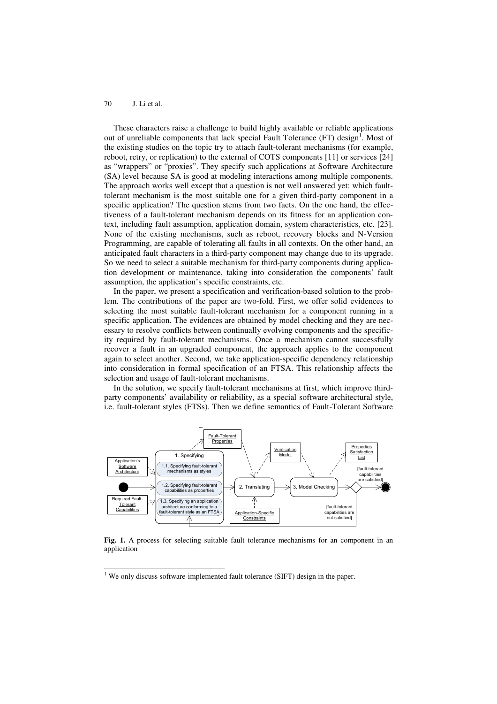These characters raise a challenge to build highly available or reliable applications out of unreliable components that lack special Fault Tolerance  $(FT)$  design<sup>1</sup>. Most of the existing studies on the topic try to attach fault-tolerant mechanisms (for example, reboot, retry, or replication) to the external of COTS components [11] or services [24] as "wrappers" or "proxies". They specify such applications at Software Architecture (SA) level because SA is good at modeling interactions among multiple components. The approach works well except that a question is not well answered yet: which faulttolerant mechanism is the most suitable one for a given third-party component in a specific application? The question stems from two facts. On the one hand, the effectiveness of a fault-tolerant mechanism depends on its fitness for an application context, including fault assumption, application domain, system characteristics, etc. [23]. None of the existing mechanisms, such as reboot, recovery blocks and N-Version Programming, are capable of tolerating all faults in all contexts. On the other hand, an anticipated fault characters in a third-party component may change due to its upgrade. So we need to select a suitable mechanism for third-party components during application development or maintenance, taking into consideration the components' fault assumption, the application's specific constraints, etc.

In the paper, we present a specification and verification-based solution to the problem. The contributions of the paper are two-fold. First, we offer solid evidences to selecting the most suitable fault-tolerant mechanism for a component running in a specific application. The evidences are obtained by model checking and they are necessary to resolve conflicts between continually evolving components and the specificity required by fault-tolerant mechanisms. Once a mechanism cannot successfully recover a fault in an upgraded component, the approach applies to the component again to select another. Second, we take application-specific dependency relationship into consideration in formal specification of an FTSA. This relationship affects the selection and usage of fault-tolerant mechanisms.

In the solution, we specify fault-tolerant mechanisms at first, which improve thirdparty components' availability or reliability, as a special software architectural style, i.e. fault-tolerant styles (FTSs). Then we define semantics of Fault-Tolerant Software



**Fig. 1.** A process for selecting suitable fault tolerance mechanisms for an component in an application

 1 We only discuss software-implemented fault tolerance (SIFT) design in the paper.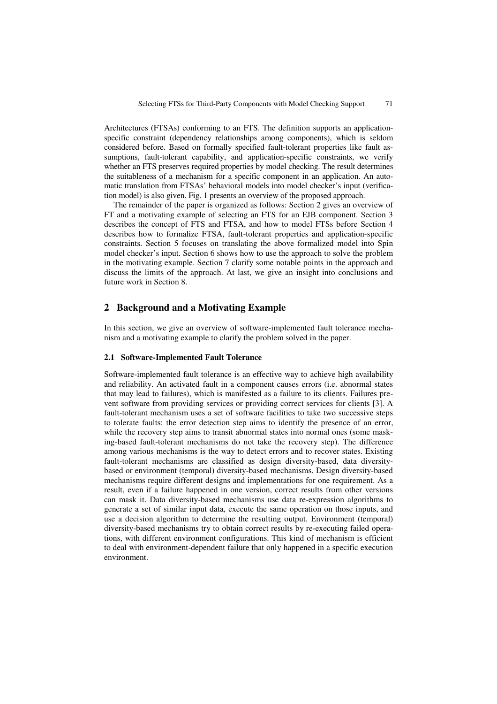Architectures (FTSAs) conforming to an FTS. The definition supports an applicationspecific constraint (dependency relationships among components), which is seldom considered before. Based on formally specified fault-tolerant properties like fault assumptions, fault-tolerant capability, and application-specific constraints, we verify whether an FTS preserves required properties by model checking. The result determines the suitableness of a mechanism for a specific component in an application. An automatic translation from FTSAs' behavioral models into model checker's input (verification model) is also given. Fig. 1 presents an overview of the proposed approach.

The remainder of the paper is organized as follows: Section 2 gives an overview of FT and a motivating example of selecting an FTS for an EJB component. Section 3 describes the concept of FTS and FTSA, and how to model FTSs before Section 4 describes how to formalize FTSA, fault-tolerant properties and application-specific constraints. Section 5 focuses on translating the above formalized model into Spin model checker's input. Section 6 shows how to use the approach to solve the problem in the motivating example. Section 7 clarify some notable points in the approach and discuss the limits of the approach. At last, we give an insight into conclusions and future work in Section 8.

## **2 Background and a Motivating Example**

In this section, we give an overview of software-implemented fault tolerance mechanism and a motivating example to clarify the problem solved in the paper.

#### **2.1 Software-Implemented Fault Tolerance**

Software-implemented fault tolerance is an effective way to achieve high availability and reliability. An activated fault in a component causes errors (i.e. abnormal states that may lead to failures), which is manifested as a failure to its clients. Failures prevent software from providing services or providing correct services for clients [3]. A fault-tolerant mechanism uses a set of software facilities to take two successive steps to tolerate faults: the error detection step aims to identify the presence of an error, while the recovery step aims to transit abnormal states into normal ones (some masking-based fault-tolerant mechanisms do not take the recovery step). The difference among various mechanisms is the way to detect errors and to recover states. Existing fault-tolerant mechanisms are classified as design diversity-based, data diversitybased or environment (temporal) diversity-based mechanisms. Design diversity-based mechanisms require different designs and implementations for one requirement. As a result, even if a failure happened in one version, correct results from other versions can mask it. Data diversity-based mechanisms use data re-expression algorithms to generate a set of similar input data, execute the same operation on those inputs, and use a decision algorithm to determine the resulting output. Environment (temporal) diversity-based mechanisms try to obtain correct results by re-executing failed operations, with different environment configurations. This kind of mechanism is efficient to deal with environment-dependent failure that only happened in a specific execution environment.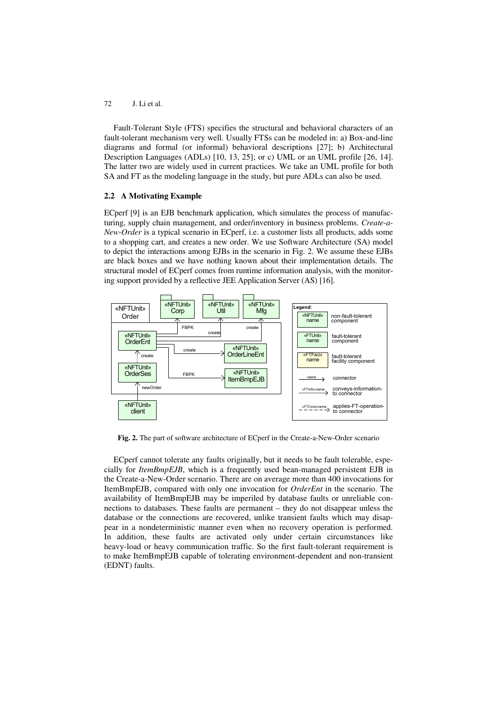Fault-Tolerant Style (FTS) specifies the structural and behavioral characters of an fault-tolerant mechanism very well. Usually FTSs can be modeled in: a) Box-and-line diagrams and formal (or informal) behavioral descriptions [27]; b) Architectural Description Languages (ADLs) [10, 13, 25]; or c) UML or an UML profile [26, 14]. The latter two are widely used in current practices. We take an UML profile for both SA and FT as the modeling language in the study, but pure ADLs can also be used.

### **2.2 A Motivating Example**

ECperf [9] is an EJB benchmark application, which simulates the process of manufacturing, supply chain management, and order/inventory in business problems. *Create-a-New-Order* is a typical scenario in ECperf, i.e. a customer lists all products, adds some to a shopping cart, and creates a new order. We use Software Architecture (SA) model to depict the interactions among EJBs in the scenario in Fig. 2. We assume these EJBs are black boxes and we have nothing known about their implementation details. The structural model of ECperf comes from runtime information analysis, with the monitoring support provided by a reflective JEE Application Server (AS) [16].



**Fig. 2.** The part of software architecture of ECperf in the Create-a-New-Order scenario

ECperf cannot tolerate any faults originally, but it needs to be fault tolerable, especially for *ItemBmpEJB*, which is a frequently used bean-managed persistent EJB in the Create-a-New-Order scenario. There are on average more than 400 invocations for ItemBmpEJB, compared with only one invocation for *OrderEnt* in the scenario. The availability of ItemBmpEJB may be imperiled by database faults or unreliable connections to databases. These faults are permanent – they do not disappear unless the database or the connections are recovered, unlike transient faults which may disappear in a nondeterministic manner even when no recovery operation is performed. In addition, these faults are activated only under certain circumstances like heavy-load or heavy communication traffic. So the first fault-tolerant requirement is to make ItemBmpEJB capable of tolerating environment-dependent and non-transient (EDNT) faults.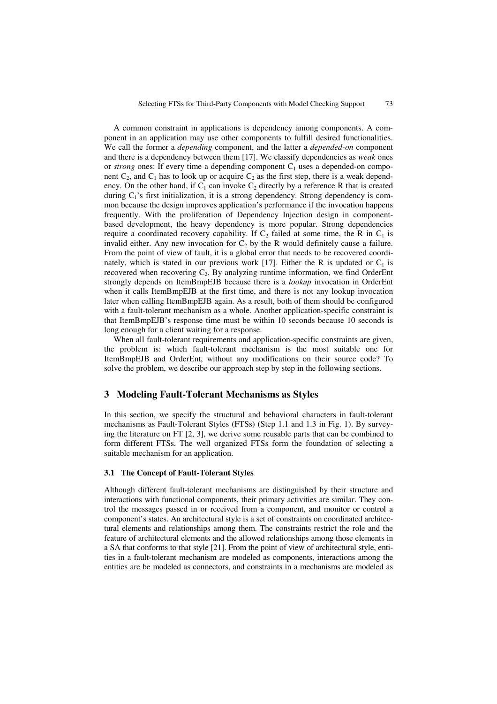A common constraint in applications is dependency among components. A component in an application may use other components to fulfill desired functionalities. We call the former a *depending* component, and the latter a *depended-on* component and there is a dependency between them [17]. We classify dependencies as *weak* ones or *strong* ones: If every time a depending component  $C_1$  uses a depended-on component  $C_2$ , and  $C_1$  has to look up or acquire  $C_2$  as the first step, there is a weak dependency. On the other hand, if  $C_1$  can invoke  $C_2$  directly by a reference R that is created during  $C_1$ 's first initialization, it is a strong dependency. Strong dependency is common because the design improves application's performance if the invocation happens frequently. With the proliferation of Dependency Injection design in componentbased development, the heavy dependency is more popular. Strong dependencies require a coordinated recovery capability. If  $C_2$  failed at some time, the R in  $C_1$  is invalid either. Any new invocation for  $C_2$  by the R would definitely cause a failure. From the point of view of fault, it is a global error that needs to be recovered coordinately, which is stated in our previous work [17]. Either the R is updated or  $C_1$  is recovered when recovering  $C_2$ . By analyzing runtime information, we find OrderEnt strongly depends on ItemBmpEJB because there is a *lookup* invocation in OrderEnt when it calls ItemBmpEJB at the first time, and there is not any lookup invocation later when calling ItemBmpEJB again. As a result, both of them should be configured with a fault-tolerant mechanism as a whole. Another application-specific constraint is that ItemBmpEJB's response time must be within 10 seconds because 10 seconds is long enough for a client waiting for a response.

When all fault-tolerant requirements and application-specific constraints are given, the problem is: which fault-tolerant mechanism is the most suitable one for ItemBmpEJB and OrderEnt, without any modifications on their source code? To solve the problem, we describe our approach step by step in the following sections.

#### **3 Modeling Fault-Tolerant Mechanisms as Styles**

In this section, we specify the structural and behavioral characters in fault-tolerant mechanisms as Fault-Tolerant Styles (FTSs) (Step 1.1 and 1.3 in Fig. 1). By surveying the literature on FT [2, 3], we derive some reusable parts that can be combined to form different FTSs. The well organized FTSs form the foundation of selecting a suitable mechanism for an application.

#### **3.1 The Concept of Fault-Tolerant Styles**

Although different fault-tolerant mechanisms are distinguished by their structure and interactions with functional components, their primary activities are similar. They control the messages passed in or received from a component, and monitor or control a component's states. An architectural style is a set of constraints on coordinated architectural elements and relationships among them. The constraints restrict the role and the feature of architectural elements and the allowed relationships among those elements in a SA that conforms to that style [21]. From the point of view of architectural style, entities in a fault-tolerant mechanism are modeled as components, interactions among the entities are be modeled as connectors, and constraints in a mechanisms are modeled as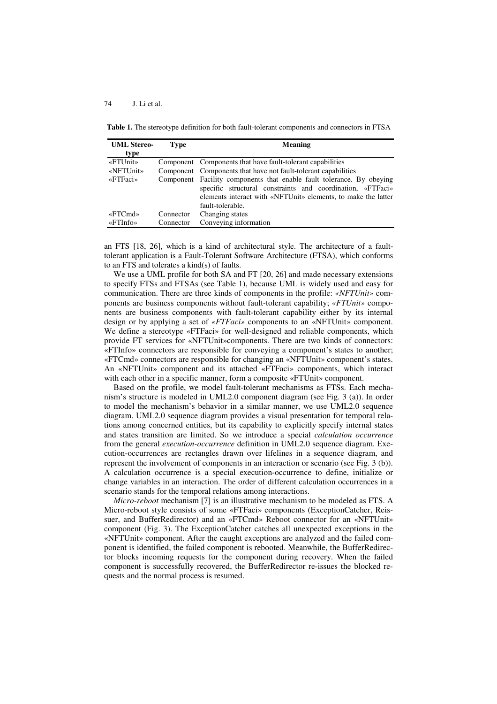**Table 1.** The stereotype definition for both fault-tolerant components and connectors in FTSA

| <b>UML Stereo-</b> | <b>Type</b> | Meaning                                                               |
|--------------------|-------------|-----------------------------------------------------------------------|
| type               |             |                                                                       |
| «FTUnit»           |             | Component Components that have fault-tolerant capabilities            |
| «NFTUnit»          |             | Component Components that have not fault-tolerant capabilities        |
| «FTFaci»           |             | Component Facility components that enable fault tolerance. By obeying |
|                    |             | specific structural constraints and coordination, «FTFaci»            |
|                    |             | elements interact with «NFTUnit» elements, to make the latter         |
|                    |             | fault-tolerable.                                                      |
| «FTCmd»            | Connector   | Changing states                                                       |
| $\ll$ FTInfo $\gg$ | Connector   | Conveying information                                                 |

an FTS [18, 26], which is a kind of architectural style. The architecture of a faulttolerant application is a Fault-Tolerant Software Architecture (FTSA), which conforms to an FTS and tolerates a kind(s) of faults.

We use a UML profile for both SA and FT [20, 26] and made necessary extensions to specify FTSs and FTSAs (see Table 1), because UML is widely used and easy for communication. There are three kinds of components in the profile: *«NFTUnit»* components are business components without fault-tolerant capability; *«FTUnit»* components are business components with fault-tolerant capability either by its internal design or by applying a set of *«FTFaci»* components to an «NFTUnit» component. We define a stereotype «FTFaci» for well-designed and reliable components, which provide FT services for «NFTUnit»components. There are two kinds of connectors: «FTInfo» connectors are responsible for conveying a component's states to another; «FTCmd» connectors are responsible for changing an «NFTUnit» component's states. An «NFTUnit» component and its attached «FTFaci» components, which interact with each other in a specific manner, form a composite «FTUnit» component.

Based on the profile, we model fault-tolerant mechanisms as FTSs. Each mechanism's structure is modeled in UML2.0 component diagram (see Fig. 3 (a)). In order to model the mechanism's behavior in a similar manner, we use UML2.0 sequence diagram. UML2.0 sequence diagram provides a visual presentation for temporal relations among concerned entities, but its capability to explicitly specify internal states and states transition are limited. So we introduce a special *calculation occurrence* from the general *execution-occurrence* definition in UML2.0 sequence diagram. Execution-occurrences are rectangles drawn over lifelines in a sequence diagram, and represent the involvement of components in an interaction or scenario (see Fig. 3 (b)). A calculation occurrence is a special execution-occurrence to define, initialize or change variables in an interaction. The order of different calculation occurrences in a scenario stands for the temporal relations among interactions.

*Micro-reboot* mechanism [7] is an illustrative mechanism to be modeled as FTS. A Micro-reboot style consists of some «FTFaci» components (ExceptionCatcher, Reissuer, and BufferRedirector) and an «FTCmd» Reboot connector for an «NFTUnit» component (Fig. 3). The ExceptionCatcher catches all unexpected exceptions in the «NFTUnit» component. After the caught exceptions are analyzed and the failed component is identified, the failed component is rebooted. Meanwhile, the BufferRedirector blocks incoming requests for the component during recovery. When the failed component is successfully recovered, the BufferRedirector re-issues the blocked requests and the normal process is resumed.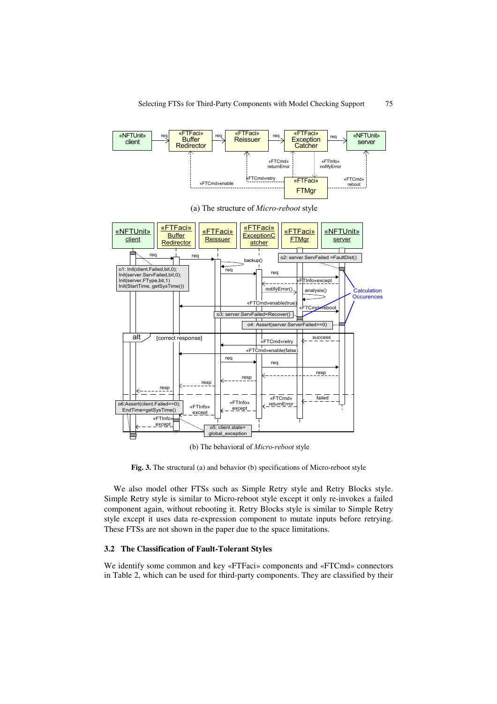

(b) The behavioral of *Micro-reboot* style

**Fig. 3.** The structural (a) and behavior (b) specifications of Micro-reboot style

We also model other FTSs such as Simple Retry style and Retry Blocks style. Simple Retry style is similar to Micro-reboot style except it only re-invokes a failed component again, without rebooting it. Retry Blocks style is similar to Simple Retry style except it uses data re-expression component to mutate inputs before retrying. These FTSs are not shown in the paper due to the space limitations.

#### **3.2 The Classification of Fault-Tolerant Styles**

We identify some common and key «FTFaci» components and «FTCmd» connectors in Table 2, which can be used for third-party components. They are classified by their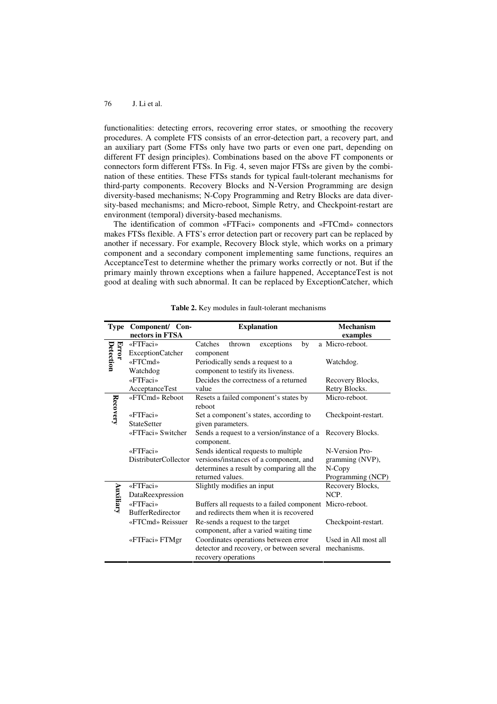functionalities: detecting errors, recovering error states, or smoothing the recovery procedures. A complete FTS consists of an error-detection part, a recovery part, and an auxiliary part (Some FTSs only have two parts or even one part, depending on different FT design principles). Combinations based on the above FT components or connectors form different FTSs. In Fig. 4, seven major FTSs are given by the combination of these entities. These FTSs stands for typical fault-tolerant mechanisms for third-party components. Recovery Blocks and N-Version Programming are design diversity-based mechanisms; N-Copy Programming and Retry Blocks are data diversity-based mechanisms; and Micro-reboot, Simple Retry, and Checkpoint-restart are environment (temporal) diversity-based mechanisms.

The identification of common «FTFaci» components and «FTCmd» connectors makes FTSs flexible. A FTS's error detection part or recovery part can be replaced by another if necessary. For example, Recovery Block style, which works on a primary component and a secondary component implementing same functions, requires an AcceptanceTest to determine whether the primary works correctly or not. But if the primary mainly thrown exceptions when a failure happened, AcceptanceTest is not good at dealing with such abnormal. It can be replaced by ExceptionCatcher, which

| <b>Type</b>               | Component/ Con-         | <b>Explanation</b>                                          | <b>Mechanism</b>     |
|---------------------------|-------------------------|-------------------------------------------------------------|----------------------|
|                           | nectors in FTSA         |                                                             | examples             |
| Detection<br><b>Error</b> | «FTFaci»                | exceptions<br>Catches<br>by<br>thrown                       | a Micro-reboot.      |
|                           | <b>ExceptionCatcher</b> | component                                                   |                      |
|                           | «FTCmd»                 | Periodically sends a request to a                           | Watchdog.            |
|                           | Watchdog                | component to testify its liveness.                          |                      |
|                           | «FTFaci»                | Decides the correctness of a returned                       | Recovery Blocks,     |
|                           | AcceptanceTest          | value                                                       | Retry Blocks.        |
|                           | «FTCmd» Reboot          | Resets a failed component's states by                       | Micro-reboot.        |
|                           |                         | reboot                                                      |                      |
| Recovery                  | «FTFaci»                | Set a component's states, according to                      | Checkpoint-restart.  |
|                           | <b>StateSetter</b>      | given parameters.                                           |                      |
|                           | «FTFaci» Switcher       | Sends a request to a version/instance of a Recovery Blocks. |                      |
|                           |                         | component.                                                  |                      |
|                           | «FTFaci»                | Sends identical requests to multiple                        | N-Version Pro-       |
|                           | DistributerCollector    | versions/instances of a component, and                      | gramming (NVP),      |
|                           |                         | determines a result by comparing all the                    | $N$ -Copy            |
|                           |                         | returned values.                                            | Programming (NCP)    |
| Auxiliary                 | «FTFaci»                | Slightly modifies an input                                  | Recovery Blocks,     |
|                           | DataReexpression        |                                                             | NCP.                 |
|                           | «FTFaci»                | Buffers all requests to a failed component                  | Micro-reboot.        |
|                           | BufferRedirector        | and redirects them when it is recovered                     |                      |
|                           | «FTCmd» Reissuer        | Re-sends a request to the target                            | Checkpoint-restart.  |
|                           |                         | component, after a varied waiting time                      |                      |
|                           | «FTFaci» FTMgr          | Coordinates operations between error                        | Used in All most all |
|                           |                         | detector and recovery, or between several                   | mechanisms.          |
|                           |                         | recovery operations                                         |                      |

**Table 2.** Key modules in fault-tolerant mechanisms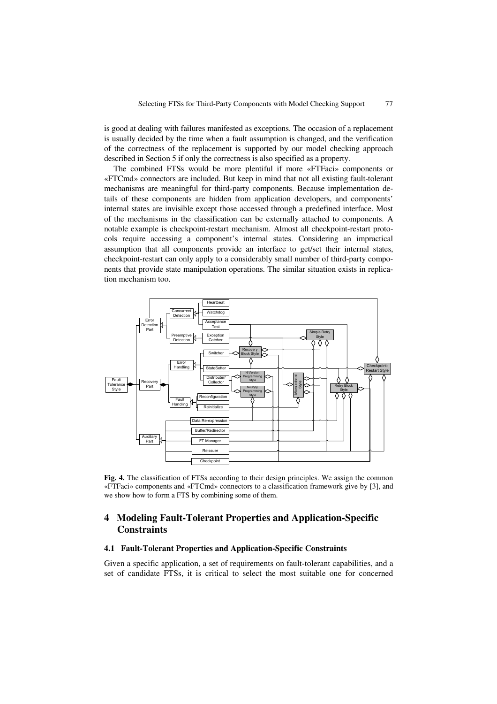is good at dealing with failures manifested as exceptions. The occasion of a replacement is usually decided by the time when a fault assumption is changed, and the verification of the correctness of the replacement is supported by our model checking approach described in Section 5 if only the correctness is also specified as a property.

The combined FTSs would be more plentiful if more «FTFaci» components or «FTCmd» connectors are included. But keep in mind that not all existing fault-tolerant mechanisms are meaningful for third-party components. Because implementation details of these components are hidden from application developers, and components' internal states are invisible except those accessed through a predefined interface. Most of the mechanisms in the classification can be externally attached to components. A notable example is checkpoint-restart mechanism. Almost all checkpoint-restart protocols require accessing a component's internal states. Considering an impractical assumption that all components provide an interface to get/set their internal states, checkpoint-restart can only apply to a considerably small number of third-party components that provide state manipulation operations. The similar situation exists in replication mechanism too.



**Fig. 4.** The classification of FTSs according to their design principles. We assign the common «FTFaci» components and «FTCmd» connectors to a classification framework give by [3], and we show how to form a FTS by combining some of them.

## **4 Modeling Fault-Tolerant Properties and Application-Specific Constraints**

#### **4.1 Fault-Tolerant Properties and Application-Specific Constraints**

Given a specific application, a set of requirements on fault-tolerant capabilities, and a set of candidate FTSs, it is critical to select the most suitable one for concerned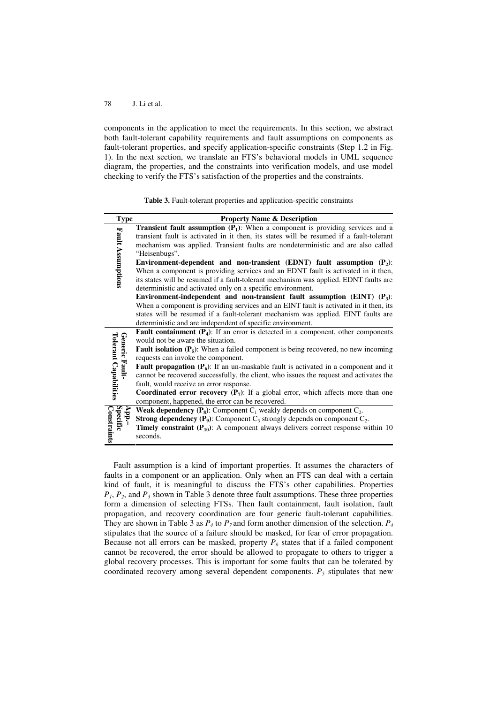components in the application to meet the requirements. In this section, we abstract both fault-tolerant capability requirements and fault assumptions on components as fault-tolerant properties, and specify application-specific constraints (Step 1.2 in Fig. 1). In the next section, we translate an FTS's behavioral models in UML sequence diagram, the properties, and the constraints into verification models, and use model checking to verify the FTS's satisfaction of the properties and the constraints.

**Table 3.** Fault-tolerant properties and application-specific constraints

| <b>Property Name &amp; Description</b><br><b>Type</b>                                                                                                                                                                                                                                                       |  |
|-------------------------------------------------------------------------------------------------------------------------------------------------------------------------------------------------------------------------------------------------------------------------------------------------------------|--|
| <b>Transient fault assumption (P<sub>1</sub>)</b> : When a component is providing services and a<br><b>Fault Assumptions</b><br>transient fault is activated in it then, its states will be resumed if a fault-tolerant<br>mechanism was applied. Transient faults are nondeterministic and are also called |  |
| "Heisenbugs".                                                                                                                                                                                                                                                                                               |  |
| Environment-dependent and non-transient (EDNT) fault assumption $(P_2)$ :                                                                                                                                                                                                                                   |  |
| When a component is providing services and an EDNT fault is activated in it then,                                                                                                                                                                                                                           |  |
| its states will be resumed if a fault-tolerant mechanism was applied. EDNT faults are                                                                                                                                                                                                                       |  |
| deterministic and activated only on a specific environment.<br>Environment-independent and non-transient fault assumption (EINT) $(P_3)$ :                                                                                                                                                                  |  |
|                                                                                                                                                                                                                                                                                                             |  |
| When a component is providing services and an EINT fault is activated in it then, its                                                                                                                                                                                                                       |  |
| states will be resumed if a fault-tolerant mechanism was applied. EINT faults are                                                                                                                                                                                                                           |  |
| deterministic and are independent of specific environment.                                                                                                                                                                                                                                                  |  |
| <b>Fault containment</b> $(P_4)$ : If an error is detected in a component, other components                                                                                                                                                                                                                 |  |
| would not be aware the situation.                                                                                                                                                                                                                                                                           |  |
| <b>Generic Fault-</b><br><b>Capabilities</b><br><b>Fault isolation <math>(P_5)</math>:</b> When a failed component is being recovered, no new incoming                                                                                                                                                      |  |
| requests can invoke the component.                                                                                                                                                                                                                                                                          |  |
| <b>Fault propagation (<math>P_6</math>)</b> : If an un-maskable fault is activated in a component and it                                                                                                                                                                                                    |  |
| cannot be recovered successfully, the client, who issues the request and activates the                                                                                                                                                                                                                      |  |
| fault, would receive an error response.                                                                                                                                                                                                                                                                     |  |
| <b>Coordinated error recovery (P<sub>7</sub>):</b> If a global error, which affects more than one                                                                                                                                                                                                           |  |
| component, happened, the error can be recovered.                                                                                                                                                                                                                                                            |  |
| Specific<br><b>Weak dependency</b> ( $\mathbf{P}_8$ ): Component C <sub>1</sub> weakly depends on component C <sub>2</sub> .                                                                                                                                                                                |  |
| ಕ<br><b>Strong dependency (P<sub>9</sub>):</b> Component $C_3$ strongly depends on component $C_2$ .                                                                                                                                                                                                        |  |
| <b>Timely constraint (P<sub>10</sub>):</b> A component always delivers correct response within 10                                                                                                                                                                                                           |  |
| Constraints<br>seconds.                                                                                                                                                                                                                                                                                     |  |

Fault assumption is a kind of important properties. It assumes the characters of faults in a component or an application. Only when an FTS can deal with a certain kind of fault, it is meaningful to discuss the FTS's other capabilities. Properties  $P_1$ ,  $P_2$ , and  $P_3$  shown in Table 3 denote three fault assumptions. These three properties form a dimension of selecting FTSs. Then fault containment, fault isolation, fault propagation, and recovery coordination are four generic fault-tolerant capabilities. They are shown in Table 3 as  $P_4$  to  $P_7$  and form another dimension of the selection.  $P_4$ stipulates that the source of a failure should be masked, for fear of error propagation. Because not all errors can be masked, property  $P_6$  states that if a failed component cannot be recovered, the error should be allowed to propagate to others to trigger a global recovery processes. This is important for some faults that can be tolerated by coordinated recovery among several dependent components.  $P_5$  stipulates that new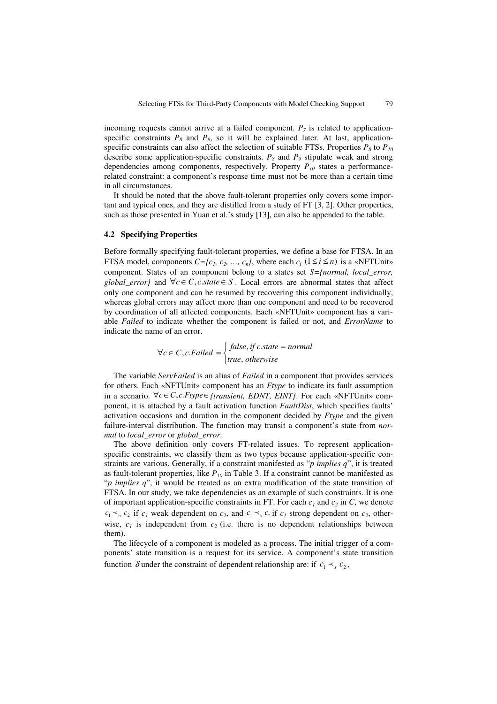incoming requests cannot arrive at a failed component.  $P_7$  is related to applicationspecific constraints  $P_8$  and  $P_9$ , so it will be explained later. At last, applicationspecific constraints can also affect the selection of suitable FTSs. Properties  $P_8$  to  $P_{10}$ describe some application-specific constraints.  $P_8$  and  $P_9$  stipulate weak and strong dependencies among components, respectively. Property *P10* states a performancerelated constraint: a component's response time must not be more than a certain time in all circumstances.

It should be noted that the above fault-tolerant properties only covers some important and typical ones, and they are distilled from a study of FT [3, 2]. Other properties, such as those presented in Yuan et al.'s study [13], can also be appended to the table.

#### **4.2 Specifying Properties**

Before formally specifying fault-tolerant properties, we define a base for FTSA. In an FTSA model, components  $C = \{c_1, c_2, ..., c_n\}$ , where each  $c_i$  ( $1 \le i \le n$ ) is a «NFTUnit» component. States of an component belong to a states set *S={normal, local\_error, global error}* and  $\forall c \in C$ , *c.state*  $\in S$ . Local errors are abnormal states that affect only one component and can be resumed by recovering this component individually, whereas global errors may affect more than one component and need to be recovered by coordination of all affected components. Each «NFTUnit» component has a variable *Failed* to indicate whether the component is failed or not, and *ErrorName* to indicate the name of an error.

$$
\forall c \in C, c. Failed = \begin{cases} false, if c. state = normal \\ true, otherwise \end{cases}
$$

The variable *ServFailed* is an alias of *Failed* in a component that provides services for others. Each «NFTUnit» component has an *Ftype* to indicate its fault assumption in a scenario. ∈∀ *cCc* ., *Ftype*∈*{transient, EDNT, EINT}*. For each «NFTUnit» component, it is attached by a fault activation function *FaultDist*, which specifies faults' activation occasions and duration in the component decided by *Ftype* and the given failure-interval distribution. The function may transit a component's state from *normal* to *local\_error* or *global\_error*.

The above definition only covers FT-related issues. To represent applicationspecific constraints, we classify them as two types because application-specific constraints are various. Generally, if a constraint manifested as "*p implies q*", it is treated as fault-tolerant properties, like  $P_{10}$  in Table 3. If a constraint cannot be manifested as "*p implies q*", it would be treated as an extra modification of the state transition of FTSA. In our study, we take dependencies as an example of such constraints. It is one of important application-specific constraints in FT. For each  $c_1$  and  $c_2$  in *C*, we denote  $c_1 \prec_w c_2$  if  $c_1$  weak dependent on  $c_2$ , and  $c_1 \prec_s c_2$  if  $c_1$  strong dependent on  $c_2$ , otherwise,  $c_1$  is independent from  $c_2$  (i.e. there is no dependent relationships between them).

The lifecycle of a component is modeled as a process. The initial trigger of a components' state transition is a request for its service. A component's state transition function  $\delta$  under the constraint of dependent relationship are: if  $c_1 \prec_c c_2$ ,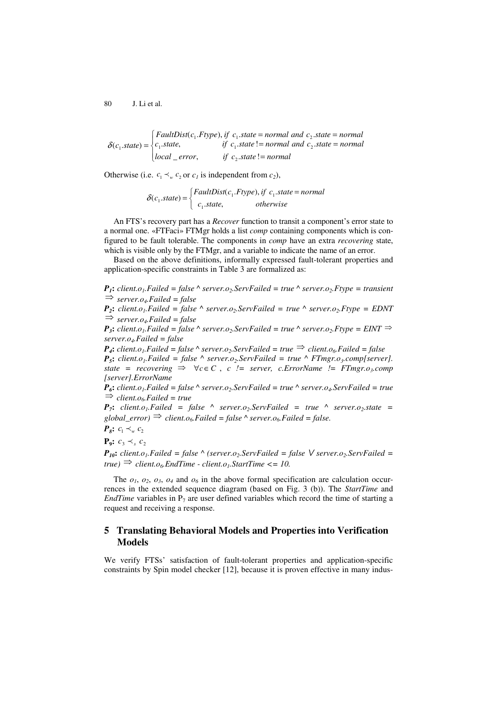$$
\delta(c_1.\text{state}) = \begin{cases}\n\text{FaultDist}(c_1.\text{Ftype}), & \text{if } c_1.\text{state} = \text{normal and } c_2.\text{state} = \text{normal} \\
c_1.\text{state}, & \text{if } c_1.\text{state} != \text{normal and } c_2.\text{state} = \text{normal} \\
\text{local\_error}, & \text{if } c_2.\text{state} != \text{normal}\n\end{cases}
$$

Otherwise (i.e.  $c_1 \prec_w c_2$  or  $c_1$  is independent from  $c_2$ ),

$$
\delta(c_1.state) = \begin{cases} FaultDist(c_1.Ftype), if \ c_1.state = normal \\ c_1.state, \qquad otherwise \end{cases}
$$

An FTS's recovery part has a *Recover* function to transit a component's error state to a normal one. «FTFaci» FTMgr holds a list *comp* containing components which is configured to be fault tolerable. The components in *comp* have an extra *recovering* state, which is visible only by the FTMgr, and a variable to indicate the name of an error.

Based on the above definitions, informally expressed fault-tolerant properties and application-specific constraints in Table 3 are formalized as:

 $P_1$ **:** *client.o<sub>1</sub>.Failed* = *false*  $\wedge$  *server.o<sub>2</sub>.ServFailed* = *true*  $\wedge$  *server.o<sub>2</sub>.Ftype* = *transient*  $\Rightarrow$  *server.o<sub>4</sub>.Failed* = *false* 

*P<sub>2</sub>*: *client.o<sub>1</sub>.Failed* = *false*  $\land$  *server.o<sub>2</sub>.ServFailed* = *true*  $\land$  *server.o<sub>2</sub>.Ftype* = *EDNT*  $\Rightarrow$  *server.o<sub>4</sub>.Failed = false* 

*P<sub>3</sub>*: *client.o<sub>1</sub>.Failed* = *false* ^ *server.o<sub>2</sub>.ServFailed* = *true* ^ *server.o<sub>2</sub>.Ftype* = *EINT* ⇒ *server.o4.Failed = false* 

*P<sub>4</sub>*: *client.o<sub>1</sub>.Failed* = *false*  $\land$  *server.o<sub>2</sub>.ServFailed* = *true*  $\Rightarrow$  *client.o<sub>6</sub>.Failed* = *false*  $P_5$ : *client.o<sub>1</sub>.Failed = false*  $\land$  *server.o<sub>2</sub>.ServFailed = true*  $\land$  *FTmgr.o<sub>3</sub>.comp[server].*  $state = recovering \Rightarrow \forall c \in C$ , *c != server, c.ErrorName != FTmgr.o<sub>3</sub>.comp [server].ErrorName* 

 $P_6$ **:** *client.o<sub>1</sub>.Failed* = *false*  $\wedge$  *server.o<sub>2</sub>.ServFailed* = *true*  $\wedge$  *server.o<sub>4</sub>.ServFailed* = *true*  $\Rightarrow$  *client.o<sub>6</sub>.Failed* = *true* 

 $P_7$ **:** *client.o<sub>1</sub>.Failed* = *false*  $\land$  *server.o<sub>2</sub>.ServFailed* = *true*  $\land$  *server.o<sub>2</sub>.state* = global  $error$ )  $\Rightarrow$  *client.o<sub>6</sub>.Failed = false*  $\land$  *server.o<sub>6</sub>.Failed = false.* 

*P<sub>8</sub>*:  $c_1 \prec_w c_2$ 

 $\mathbf{P}_9$ :  $c_3 \prec_s c_2$ 

 $P_{10}$ : *client.o<sub>1</sub>.Failed = false*  $\wedge$  (server.o<sub>2</sub>.ServFailed = false  $\vee$  server.o<sub>2</sub>.ServFailed =  $true \implies$  *client.o<sub>6</sub>.EndTime - client.o<sub>1</sub>.StartTime <= 10.* 

The  $o_1$ ,  $o_2$ ,  $o_3$ ,  $o_4$  and  $o_6$  in the above formal specification are calculation occurrences in the extended sequence diagram (based on Fig. 3 (b)). The *StartTime* and *EndTime* variables in  $P_7$  are user defined variables which record the time of starting a request and receiving a response.

## **5 Translating Behavioral Models and Properties into Verification Models**

We verify FTSs' satisfaction of fault-tolerant properties and application-specific constraints by Spin model checker [12], because it is proven effective in many indus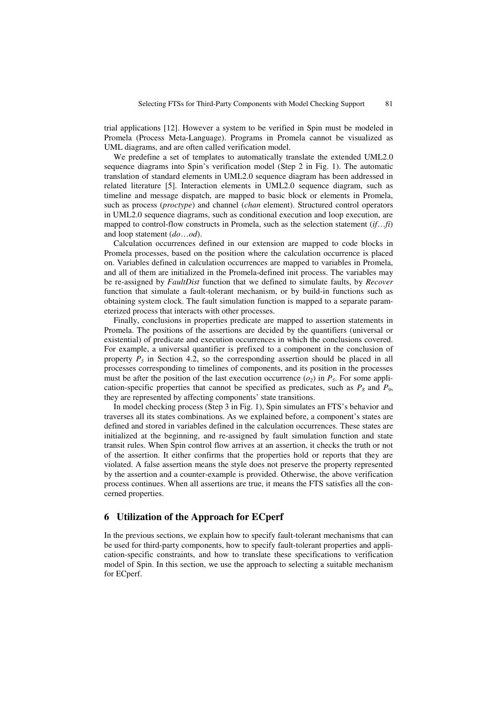trial applications [12]. However a system to be verified in Spin must be modeled in Promela (Process Meta-Language). Programs in Promela cannot be visualized as UML diagrams, and are often called verification model.

We predefine a set of templates to automatically translate the extended UML2.0 sequence diagrams into Spin's verification model (Step 2 in Fig. 1). The automatic translation of standard elements in UML2.0 sequence diagram has been addressed in related literature [5]. Interaction elements in UML2.0 sequence diagram, such as timeline and message dispatch, are mapped to basic block or elements in Promela, such as process (*proctype*) and channel (*chan* element). Structured control operators in UML2.0 sequence diagrams, such as conditional execution and loop execution, are mapped to control-flow constructs in Promela, such as the selection statement  $(i, \hat{i}, \hat{j})$ and loop statement (*do*…*od*).

Calculation occurrences defined in our extension are mapped to code blocks in Promela processes, based on the position where the calculation occurrence is placed on. Variables defined in calculation occurrences are mapped to variables in Promela, and all of them are initialized in the Promela-defined init process. The variables may be re-assigned by *FaultDist* function that we defined to simulate faults, by *Recover* function that simulate a fault-tolerant mechanism, or by build-in functions such as obtaining system clock. The fault simulation function is mapped to a separate parameterized process that interacts with other processes.

Finally, conclusions in properties predicate are mapped to assertion statements in Promela. The positions of the assertions are decided by the quantifiers (universal or existential) of predicate and execution occurrences in which the conclusions covered. For example, a universal quantifier is prefixed to a component in the conclusion of property  $P_5$  in Section 4.2, so the corresponding assertion should be placed in all processes corresponding to timelines of components, and its position in the processes must be after the position of the last execution occurrence  $(o_2)$  in  $P_5$ . For some application-specific properties that cannot be specified as predicates, such as  $P_8$  and  $P_9$ , they are represented by affecting components' state transitions.

In model checking process (Step 3 in Fig. 1), Spin simulates an FTS's behavior and traverses all its states combinations. As we explained before, a component's states are defined and stored in variables defined in the calculation occurrences. These states are initialized at the beginning, and re-assigned by fault simulation function and state transit rules. When Spin control flow arrives at an assertion, it checks the truth or not of the assertion. It either confirms that the properties hold or reports that they are violated. A false assertion means the style does not preserve the property represented by the assertion and a counter-example is provided. Otherwise, the above verification process continues. When all assertions are true, it means the FTS satisfies all the concerned properties.

## **6 Utilization of the Approach for ECperf**

In the previous sections, we explain how to specify fault-tolerant mechanisms that can be used for third-party components, how to specify fault-tolerant properties and application-specific constraints, and how to translate these specifications to verification model of Spin. In this section, we use the approach to selecting a suitable mechanism for ECperf.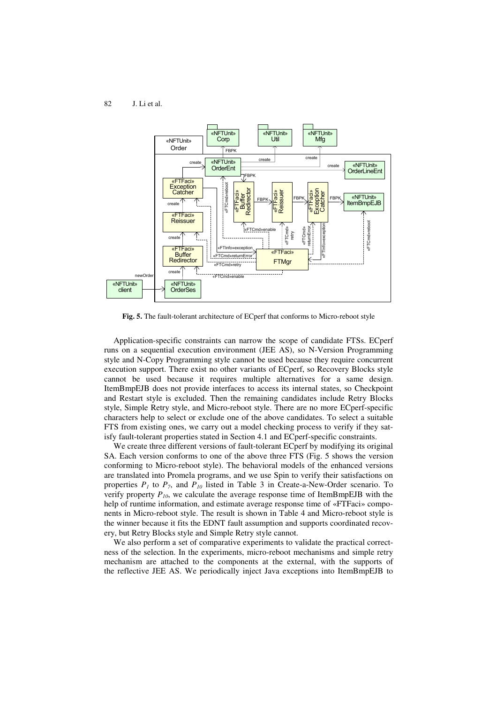

**Fig. 5.** The fault-tolerant architecture of ECperf that conforms to Micro-reboot style

Application-specific constraints can narrow the scope of candidate FTSs. ECperf runs on a sequential execution environment (JEE AS), so N-Version Programming style and N-Copy Programming style cannot be used because they require concurrent execution support. There exist no other variants of ECperf, so Recovery Blocks style cannot be used because it requires multiple alternatives for a same design. ItemBmpEJB does not provide interfaces to access its internal states, so Checkpoint and Restart style is excluded. Then the remaining candidates include Retry Blocks style, Simple Retry style, and Micro-reboot style. There are no more ECperf-specific characters help to select or exclude one of the above candidates. To select a suitable FTS from existing ones, we carry out a model checking process to verify if they satisfy fault-tolerant properties stated in Section 4.1 and ECperf-specific constraints.

We create three different versions of fault-tolerant ECperf by modifying its original SA. Each version conforms to one of the above three FTS (Fig. 5 shows the version conforming to Micro-reboot style). The behavioral models of the enhanced versions are translated into Promela programs, and we use Spin to verify their satisfactions on properties  $P_1$  to  $P_7$ , and  $P_{10}$  listed in Table 3 in Create-a-New-Order scenario. To verify property  $P_{10}$ , we calculate the average response time of ItemBmpEJB with the help of runtime information, and estimate average response time of «FTFaci» components in Micro-reboot style. The result is shown in Table 4 and Micro-reboot style is the winner because it fits the EDNT fault assumption and supports coordinated recovery, but Retry Blocks style and Simple Retry style cannot.

We also perform a set of comparative experiments to validate the practical correctness of the selection. In the experiments, micro-reboot mechanisms and simple retry mechanism are attached to the components at the external, with the supports of the reflective JEE AS. We periodically inject Java exceptions into ItemBmpEJB to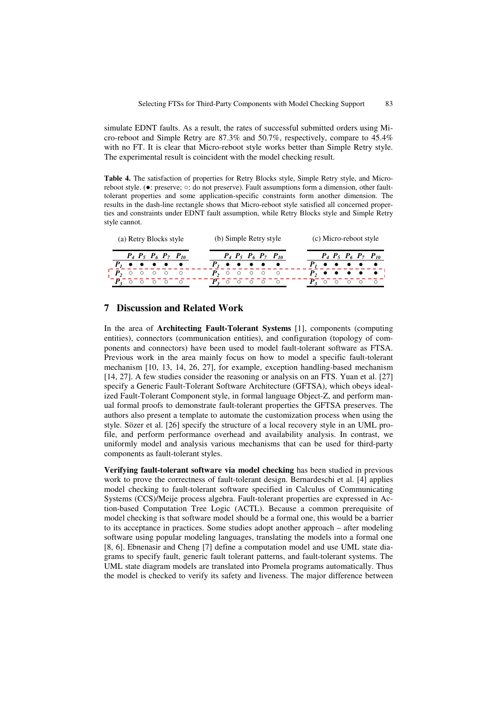simulate EDNT faults. As a result, the rates of successful submitted orders using Micro-reboot and Simple Retry are 87.3% and 50.7%, respectively, compare to 45.4% with no FT. It is clear that Micro-reboot style works better than Simple Retry style. The experimental result is coincident with the model checking result.

**Table 4.** The satisfaction of properties for Retry Blocks style, Simple Retry style, and Microreboot style. ( $\bullet$ : preserve;  $\circ$ : do not preserve). Fault assumptions form a dimension, other faulttolerant properties and some application-specific constraints form another dimension. The results in the dash-line rectangle shows that Micro-reboot style satisfied all concerned properties and constraints under EDNT fault assumption, while Retry Blocks style and Simple Retry style cannot.



## **7 Discussion and Related Work**

In the area of **Architecting Fault-Tolerant Systems** [1], components (computing entities), connectors (communication entities), and configuration (topology of components and connectors) have been used to model fault-tolerant software as FTSA. Previous work in the area mainly focus on how to model a specific fault-tolerant mechanism [10, 13, 14, 26, 27], for example, exception handling-based mechanism [14, 27]. A few studies consider the reasoning or analysis on an FTS. Yuan et al. [27] specify a Generic Fault-Tolerant Software Architecture (GFTSA), which obeys idealized Fault-Tolerant Component style, in formal language Object-Z, and perform manual formal proofs to demonstrate fault-tolerant properties the GFTSA preserves. The authors also present a template to automate the customization process when using the style. Sözer et al. [26] specify the structure of a local recovery style in an UML profile, and perform performance overhead and availability analysis. In contrast, we uniformly model and analysis various mechanisms that can be used for third-party components as fault-tolerant styles.

**Verifying fault-tolerant software via model checking** has been studied in previous work to prove the correctness of fault-tolerant design. Bernardeschi et al. [4] applies model checking to fault-tolerant software specified in Calculus of Communicating Systems (CCS)/Meije process algebra. Fault-tolerant properties are expressed in Action-based Computation Tree Logic (ACTL). Because a common prerequisite of model checking is that software model should be a formal one, this would be a barrier to its acceptance in practices. Some studies adopt another approach – after modeling software using popular modeling languages, translating the models into a formal one [8, 6]. Ebnenasir and Cheng [7] define a computation model and use UML state diagrams to specify fault, generic fault tolerant patterns, and fault-tolerant systems. The UML state diagram models are translated into Promela programs automatically. Thus the model is checked to verify its safety and liveness. The major difference between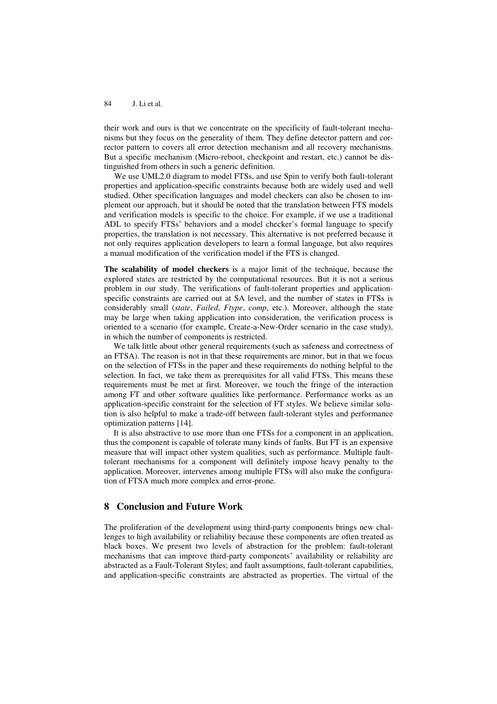their work and ours is that we concentrate on the specificity of fault-tolerant mechanisms but they focus on the generality of them. They define detector pattern and corrector pattern to covers all error detection mechanism and all recovery mechanisms. But a specific mechanism (Micro-reboot, checkpoint and restart, etc.) cannot be distinguished from others in such a generic definition.

We use UML2.0 diagram to model FTSs, and use Spin to verify both fault-tolerant properties and application-specific constraints because both are widely used and well studied. Other specification languages and model checkers can also be chosen to implement our approach, but it should be noted that the translation between FTS models and verification models is specific to the choice. For example, if we use a traditional ADL to specify FTSs' behaviors and a model checker's formal language to specify properties, the translation is not necessary. This alternative is not preferred because it not only requires application developers to learn a formal language, but also requires a manual modification of the verification model if the FTS is changed.

**The scalability of model checkers** is a major limit of the technique, because the explored states are restricted by the computational resources. But it is not a serious problem in our study. The verifications of fault-tolerant properties and applicationspecific constraints are carried out at SA level, and the number of states in FTSs is considerably small (*state*, *Failed*, *Ftype*, *comp*, etc.). Moreover, although the state may be large when taking application into consideration, the verification process is oriented to a scenario (for example, Create-a-New-Order scenario in the case study), in which the number of components is restricted.

We talk little about other general requirements (such as safeness and correctness of an FTSA). The reason is not in that these requirements are minor, but in that we focus on the selection of FTSs in the paper and these requirements do nothing helpful to the selection. In fact, we take them as prerequisites for all valid FTSs. This means these requirements must be met at first. Moreover, we touch the fringe of the interaction among FT and other software qualities like performance. Performance works as an application-specific constraint for the selection of FT styles. We believe similar solution is also helpful to make a trade-off between fault-tolerant styles and performance optimization patterns [14].

It is also abstractive to use more than one FTSs for a component in an application, thus the component is capable of tolerate many kinds of faults. But FT is an expensive measure that will impact other system qualities, such as performance. Multiple faulttolerant mechanisms for a component will definitely impose heavy penalty to the application. Moreover, intervenes among multiple FTSs will also make the configuration of FTSA much more complex and error-prone.

## **8 Conclusion and Future Work**

The proliferation of the development using third-party components brings new challenges to high availability or reliability because these components are often treated as black boxes. We present two levels of abstraction for the problem: fault-tolerant mechanisms that can improve third-party components' availability or reliability are abstracted as a Fault-Tolerant Styles; and fault assumptions, fault-tolerant capabilities, and application-specific constraints are abstracted as properties. The virtual of the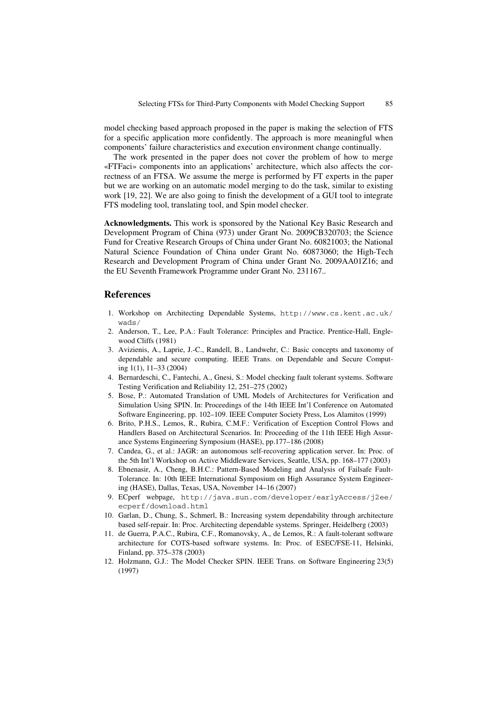model checking based approach proposed in the paper is making the selection of FTS for a specific application more confidently. The approach is more meaningful when components' failure characteristics and execution environment change continually.

The work presented in the paper does not cover the problem of how to merge «FTFaci» components into an applications' architecture, which also affects the correctness of an FTSA. We assume the merge is performed by FT experts in the paper but we are working on an automatic model merging to do the task, similar to existing work [19, 22]. We are also going to finish the development of a GUI tool to integrate FTS modeling tool, translating tool, and Spin model checker.

**Acknowledgments.** This work is sponsored by the National Key Basic Research and Development Program of China (973) under Grant No. 2009CB320703; the Science Fund for Creative Research Groups of China under Grant No. 60821003; the National Natural Science Foundation of China under Grant No. 60873060; the High-Tech Research and Development Program of China under Grant No. 2009AA01Z16; and the EU Seventh Framework Programme under Grant No. 231167..

#### **References**

- 1. Workshop on Architecting Dependable Systems, http://www.cs.kent.ac.uk/ wads/
- 2. Anderson, T., Lee, P.A.: Fault Tolerance: Principles and Practice. Prentice-Hall, Englewood Cliffs (1981)
- 3. Avizienis, A., Laprie, J.-C., Randell, B., Landwehr, C.: Basic concepts and taxonomy of dependable and secure computing. IEEE Trans. on Dependable and Secure Computing 1(1), 11–33 (2004)
- 4. Bernardeschi, C., Fantechi, A., Gnesi, S.: Model checking fault tolerant systems. Software Testing Verification and Reliability 12, 251–275 (2002)
- 5. Bose, P.: Automated Translation of UML Models of Architectures for Verification and Simulation Using SPIN. In: Proceedings of the 14th IEEE Int'l Conference on Automated Software Engineering, pp. 102–109. IEEE Computer Society Press, Los Alamitos (1999)
- 6. Brito, P.H.S., Lemos, R., Rubira, C.M.F.: Verification of Exception Control Flows and Handlers Based on Architectural Scenarios. In: Proceeding of the 11th IEEE High Assurance Systems Engineering Symposium (HASE), pp.177–186 (2008)
- 7. Candea, G., et al.: JAGR: an autonomous self-recovering application server. In: Proc. of the 5th Int'l Workshop on Active Middleware Services, Seattle, USA, pp. 168–177 (2003)
- 8. Ebnenasir, A., Cheng, B.H.C.: Pattern-Based Modeling and Analysis of Failsafe Fault-Tolerance. In: 10th IEEE International Symposium on High Assurance System Engineering (HASE), Dallas, Texas, USA, November 14–16 (2007)
- 9. ECperf webpage, http://java.sun.com/developer/earlyAccess/j2ee/ ecperf/download.html
- 10. Garlan, D., Chung, S., Schmerl, B.: Increasing system dependability through architecture based self-repair. In: Proc. Architecting dependable systems. Springer, Heidelberg (2003)
- 11. de Guerra, P.A.C., Rubira, C.F., Romanovsky, A., de Lemos, R.: A fault-tolerant software architecture for COTS-based software systems. In: Proc. of ESEC/FSE-11, Helsinki, Finland, pp. 375–378 (2003)
- 12. Holzmann, G.J.: The Model Checker SPIN. IEEE Trans. on Software Engineering 23(5) (1997)